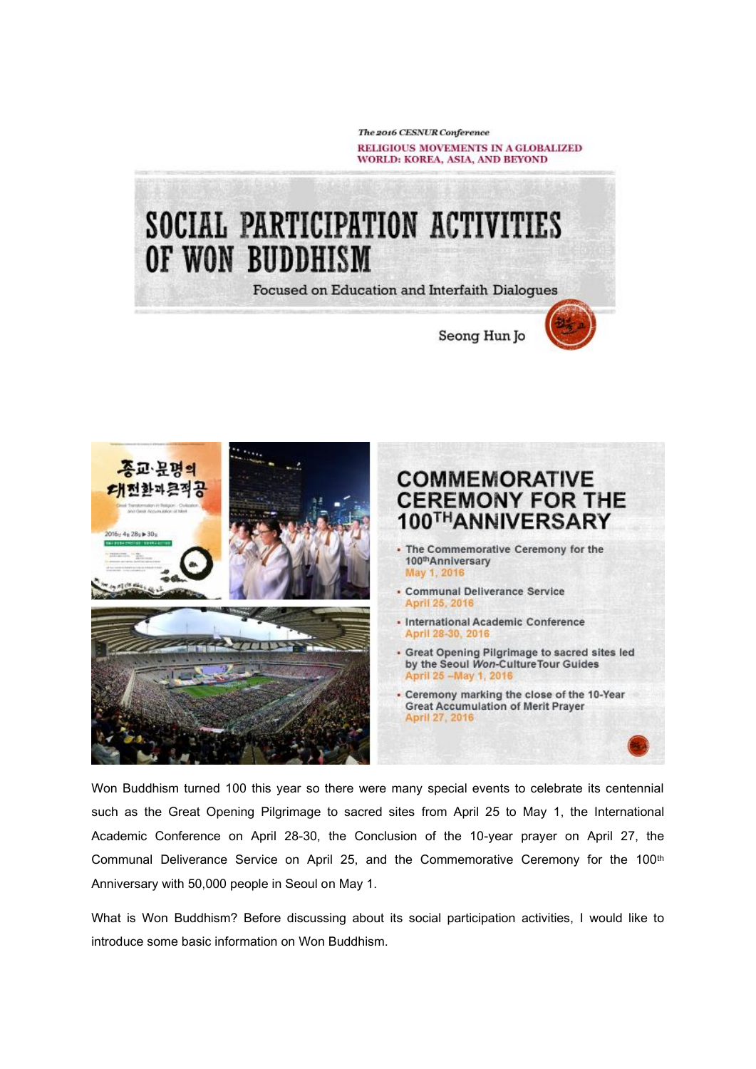The 2016 CESNUR Conference RELIGIOUS MOVEMENTS IN A GLOBALIZED WORLD: KOREA, ASIA, AND BEYOND

Seong Hun Jo

# SOCIAL PARTICIPATION ACTIVITIES OF WON BUDDHISM

**Focused on Education and Interfaith Dialogues** 



Won Buddhism turned 100 this year so there were many special events to celebrate its centennial such as the Great Opening Pilgrimage to sacred sites from April 25 to May 1, the International Academic Conference on April 28-30, the Conclusion of the 10-year prayer on April 27, the Communal Deliverance Service on April 25, and the Commemorative Ceremony for the 100<sup>th</sup> Anniversary with 50,000 people in Seoul on May 1.

What is Won Buddhism? Before discussing about its social participation activities, I would like to introduce some basic information on Won Buddhism.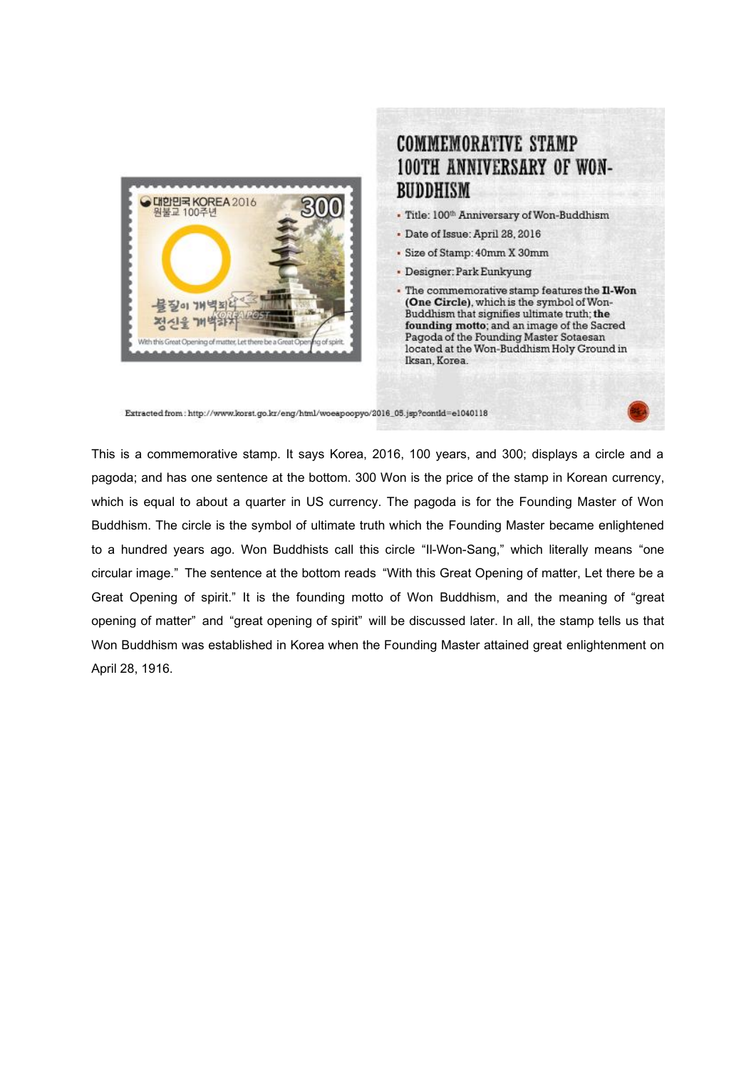

#### **COMMEMORATIVE STAMP 100TH ANNIVERSARY OF WON-BUDDHISM**

- Title: 100th Anniversary of Won-Buddhism
- · Date of Issue: April 28, 2016
- · Size of Stamp: 40mm X 30mm
- Designer: Park Eunkyung
- . The commemorative stamp features the Il-Won (One Circle), which is the symbol of Won-Buddhism that signifies ultimate truth; the founding motto; and an image of the Sacred Pagoda of the Founding Master Sotaesan located at the Won-Buddhism Holy Ground in Iksan, Korea.

Extracted from: http://www.korst.go.kr/eng/html/woeapoopyo/2016\_05.jsp?contld=e1040118

This is a commemorative stamp. It says Korea, 2016, 100 years, and 300; displays a circle and a pagoda; and has one sentence at the bottom. 300 Won is the price of the stamp in Korean currency, which is equal to about a quarter in US currency. The pagoda is for the Founding Master of Won Buddhism. The circle is the symbol of ultimate truth which the Founding Master became enlightened to a hundred years ago. Won Buddhists call this circle "Il-Won-Sang," which literally means "one circular image." The sentence at the bottom reads "With this Great Opening of matter, Let there be a Great Opening of spirit." It is the founding motto of Won Buddhism, and the meaning of "great opening of matter" and "great opening of spirit" will be discussed later. In all, the stamp tells us that Won Buddhism was established in Korea when the Founding Master attained great enlightenment on April 28, 1916.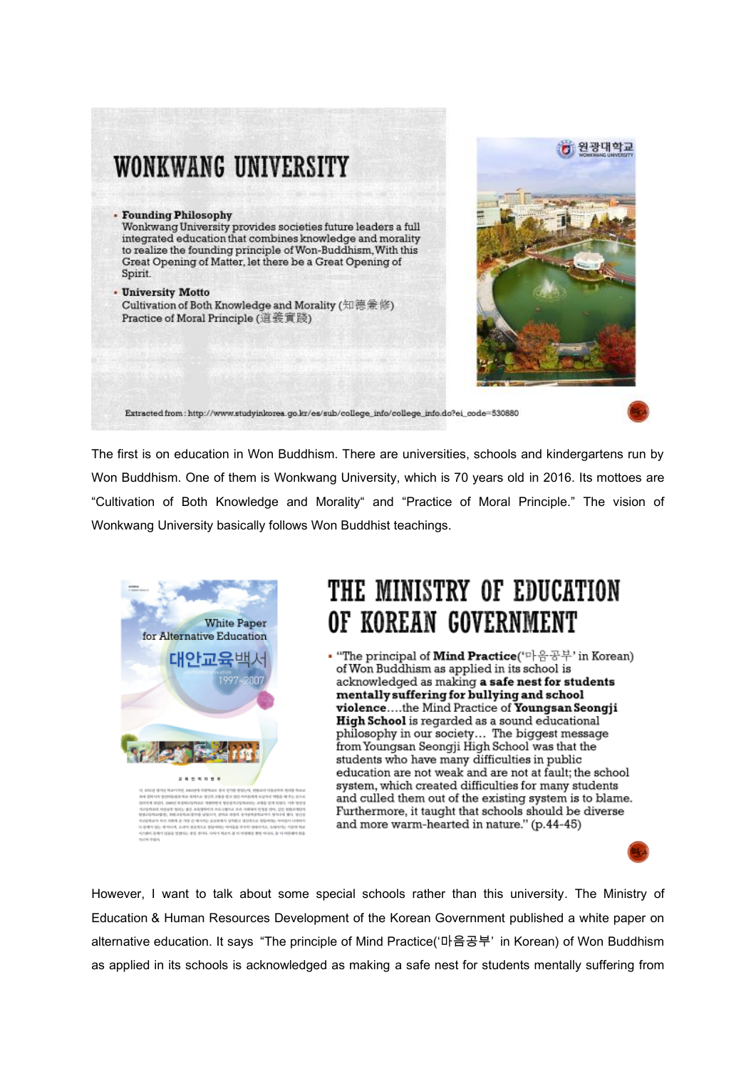



Extracted from: http://www.studyinkorea.go.kr/es/sub/college\_info/college\_info.do?ei\_code=530880

The first is on education in Won Buddhism. There are universities, schools and kindergartens run by Won Buddhism. One of them is Wonkwang University, which is 70 years old in 2016. Its mottoes are "Cultivation of Both Knowledge and Morality" and "Practice of Moral Principle." The vision of Wonkwang University basically follows Won Buddhist teachings.



### THE MINISTRY OF EDUCATION OF KOREAN GOVERNMENT

• "The principal of Mind Practice('마음공부' in Korean) of Won Buddhism as applied in its school is acknowledged as making a safe nest for students mentally suffering for bullying and school violence....the Mind Practice of Youngsan Seongji High School is regarded as a sound educational philosophy in our society... The biggest message<br>from Youngsan Seongji High School was that the students who have many difficulties in public education are not weak and are not at fault; the school system, which created difficulties for many students and culled them out of the existing system is to blame. Furthermore, it taught that schools should be diverse and more warm-hearted in nature." (p.44-45)

However, I want to talk about some special schools rather than this university. The Ministry of Education & Human Resources Development of the Korean Government published a white paper on alternative education. It says "The principle of Mind Practice('마음공부' in Korean) of Won Buddhism as applied in its schools is acknowledged as making a safe nest for students mentally suffering from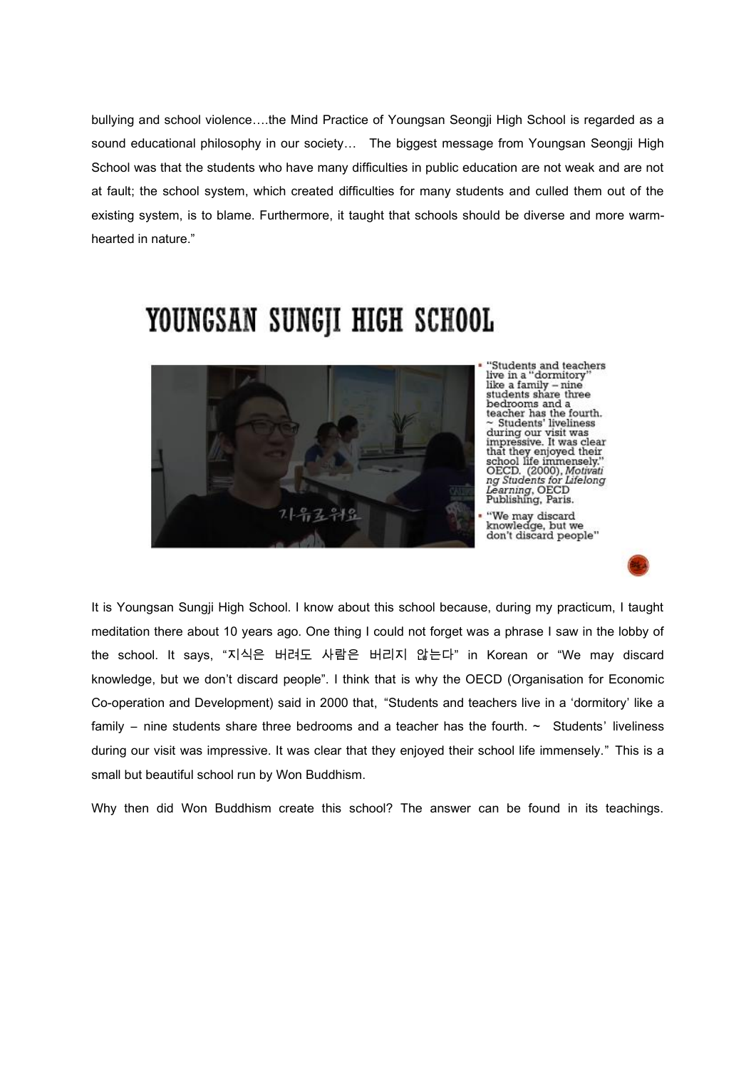bullying and school violence….the Mind Practice of Youngsan Seongji High School is regarded as a sound educational philosophy in our society… The biggest message from Youngsan Seongji High School was that the students who have many difficulties in public education are not weak and are not at fault; the school system, which created difficulties for many students and culled them out of the existing system, is to blame. Furthermore, it taught that schools should be diverse and more warmhearted in nature."



"Students and teachers<br>live in a "dormitory" like a family – nine<br>students share three state<br>in state we had a teacher has the fourth.<br> $\sim$  Students' liveliness<br>during our visit was<br>impressive. It was clear impressive. It was clear<br>that they enjoyed their<br>school life immensely."<br>OECD. (2000), *Motivati*<br>*ng Students for Lifelong* Learning, OECD<br>Publishing, Paris.

It is Youngsan Sungji High School. I know about this school because, during my practicum, I taught meditation there about 10 years ago. One thing I could not forget was a phrase I saw in the lobby of the school. It says, "지식은 버려도 사람은 버리지 않는다" in Korean or "We may discard knowledge, but we don't discard people". I think that is why the OECD (Organisation for Economic Co-operation and Development) said in 2000 that, "Students and teachers live in a 'dormitory' like a family – nine students share three bedrooms and a teacher has the fourth.  $\sim$  Students' liveliness during our visit was impressive. It was clear that they enjoyed their school life immensely." This is a small but beautiful school run by Won Buddhism.

Why then did Won Buddhism create this school? The answer can be found in its teachings.

# YOUNGSAN SUNGJI HIGH SCHOOL

<sup>&#</sup>x27;'We may discard<br>knowledge, but we<br>don't discard people''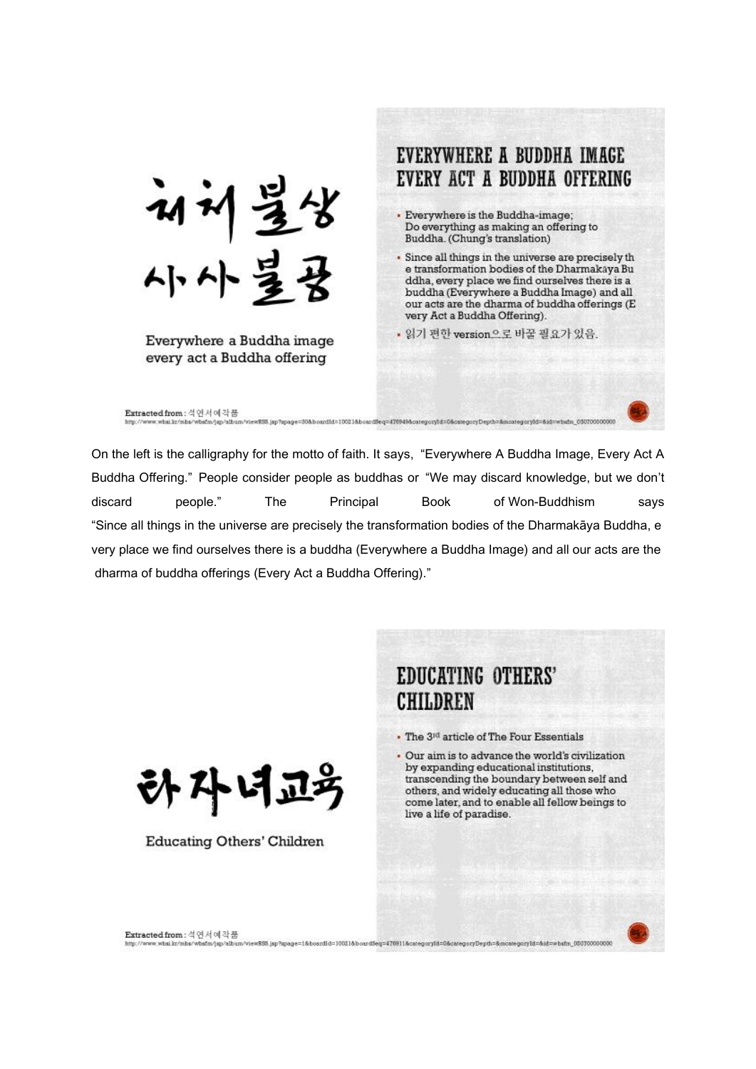EVERYWHERE A BUDDHA IMAGE EVERY ACT A BUDDHA OFFERING 재체불상<br>사사불<u>용</u> · Everywhere is the Buddha-image; Do everything as making an offering to Buddha. (Chung's translation) · Since all things in the universe are precisely th e transformation bodies of the Dharmakaya Bu ddha, every place we find ourselves there is a buddha (Everywhere a Buddha Image) and all our acts are the dharma of buddha offerings (E very Act a Buddha Offering). • 읽기 편한 version으로 바꿀 필요가 있음. Everywhere a Buddha image every act a Buddha offering Extracted from: 석연서예작품 

On the left is the calligraphy for the motto of faith. It says, "Everywhere A Buddha Image, Every Act A Buddha Offering." People consider people as buddhas or "We may discard knowledge, but we don't people." discard **The** Principal **Book** of Won-Buddhism says "Since all things in the universe are precisely the transformation bodies of the Dharmakaya Buddha, e very place we find ourselves there is a buddha (Everywhere a Buddha Image) and all our acts are the dharma of buddha offerings (Every Act a Buddha Offering)."



**Educating Others' Children** 

#### EDUCATING OTHERS' **CHILDREN**

. The 3rd article of The Four Essentials

. Our aim is to advance the world's civilization by expanding educational institutions, transcending the boundary between self and others, and widely educating all those who come later, and to enable all fellow beings to live a life of paradise.

on what levenbars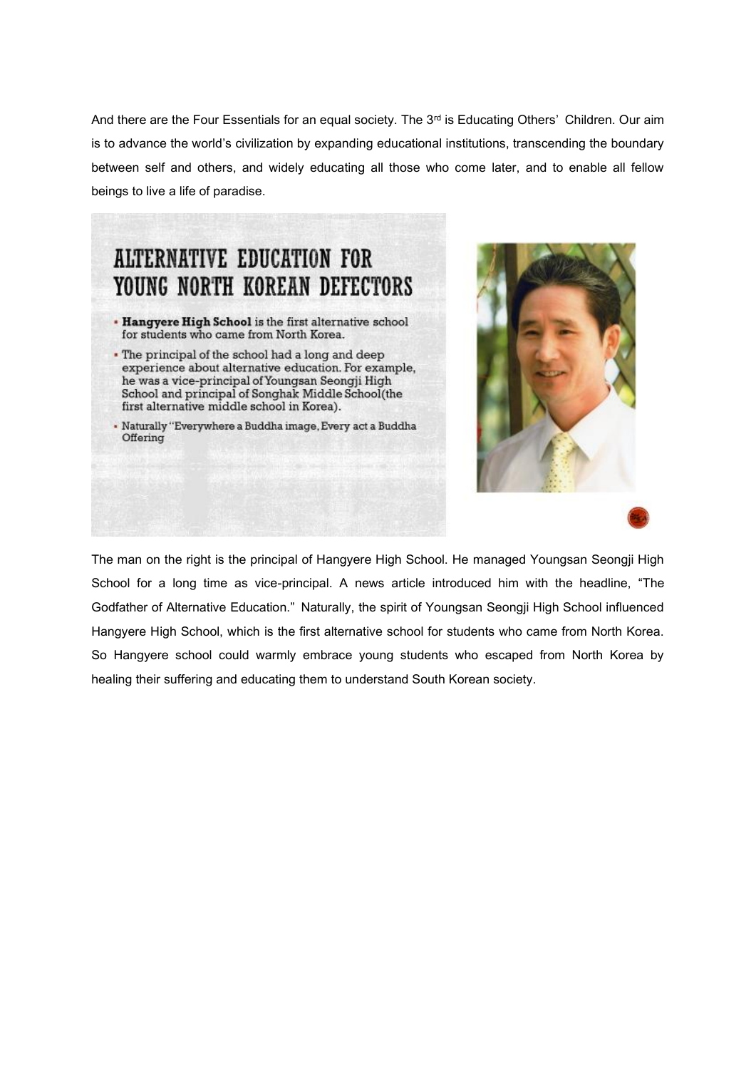And there are the Four Essentials for an equal society. The 3<sup>rd</sup> is Educating Others' Children. Our aim is to advance the world's civilization by expanding educational institutions, transcending the boundary between self and others, and widely educating all those who come later, and to enable all fellow beings to live a life of paradise.

### **ALTERNATIVE EDUCATION FOR** YOUNG NORTH KOREAN DEFECTORS

- . Hangyere High School is the first alternative school for students who came from North Korea.
- . The principal of the school had a long and deep experience about alternative education. For example, he was a vice-principal of Youngsan Seongji High School and principal of Songhak Middle School(the first alternative middle school in Korea).
- · Naturally "Everywhere a Buddha image, Every act a Buddha Offering



The man on the right is the principal of Hangyere High School. He managed Youngsan Seongji High School for a long time as vice-principal. A news article introduced him with the headline, "The Godfather of Alternative Education." Naturally, the spirit of Youngsan Seongji High School influenced Hangyere High School, which is the first alternative school for students who came from North Korea. So Hangyere school could warmly embrace young students who escaped from North Korea by healing their suffering and educating them to understand South Korean society.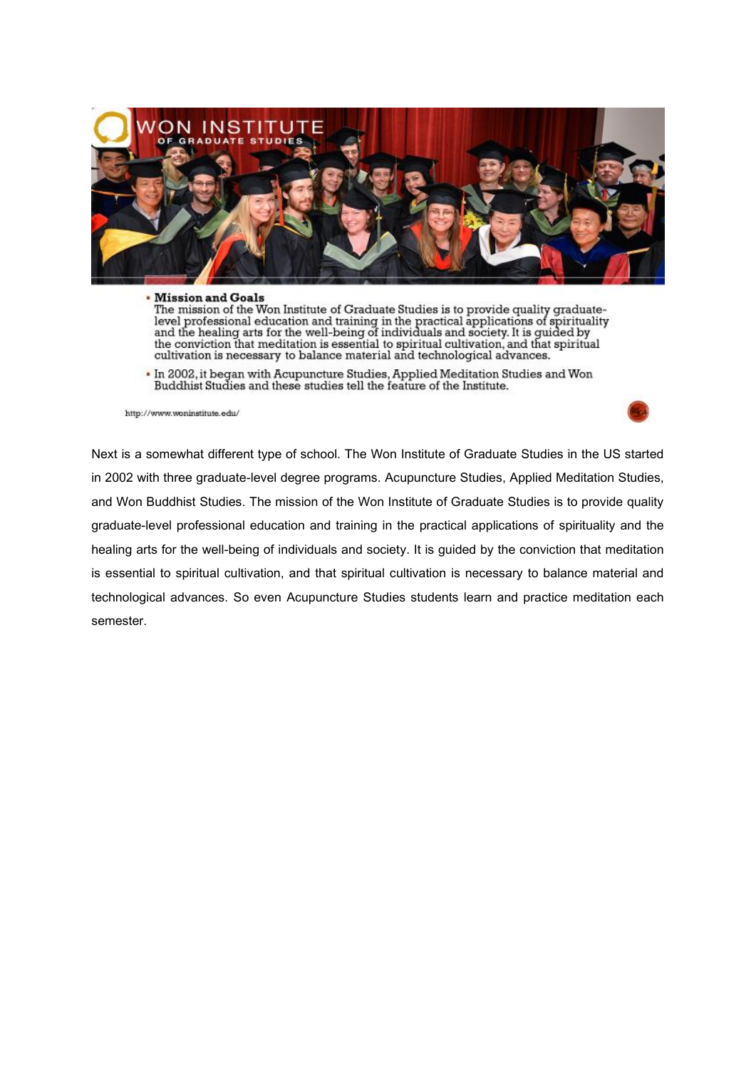

#### **• Mission and Goals**

The mission of the Won Institute of Graduate Studies is to provide quality graduatelevel professional education and training in the practical applications of spirituality<br>and the healing arts for the well-being of individuals and society. It is guided by the conviction that meditation is essential to spiritual cultivation, and that spiritual cultivation is necessary to balance material and technological advances.

- In 2002, it began with Acupuncture Studies, Applied Meditation Studies and Won Buddhist Studies and these studies tell the feature of the Institute.

http://www.woninstitute.edu/



Next is a somewhat different type of school. The Won Institute of Graduate Studies in the US started in 2002 with three graduate-level degree programs. Acupuncture Studies, Applied Meditation Studies, and Won Buddhist Studies. The mission of the Won Institute of Graduate Studies is to provide quality graduate-level professional education and training in the practical applications of spirituality and the healing arts for the well-being of individuals and society. It is guided by the conviction that meditation is essential to spiritual cultivation, and that spiritual cultivation is necessary to balance material and technological advances. So even Acupuncture Studies students learn and practice meditation each semester.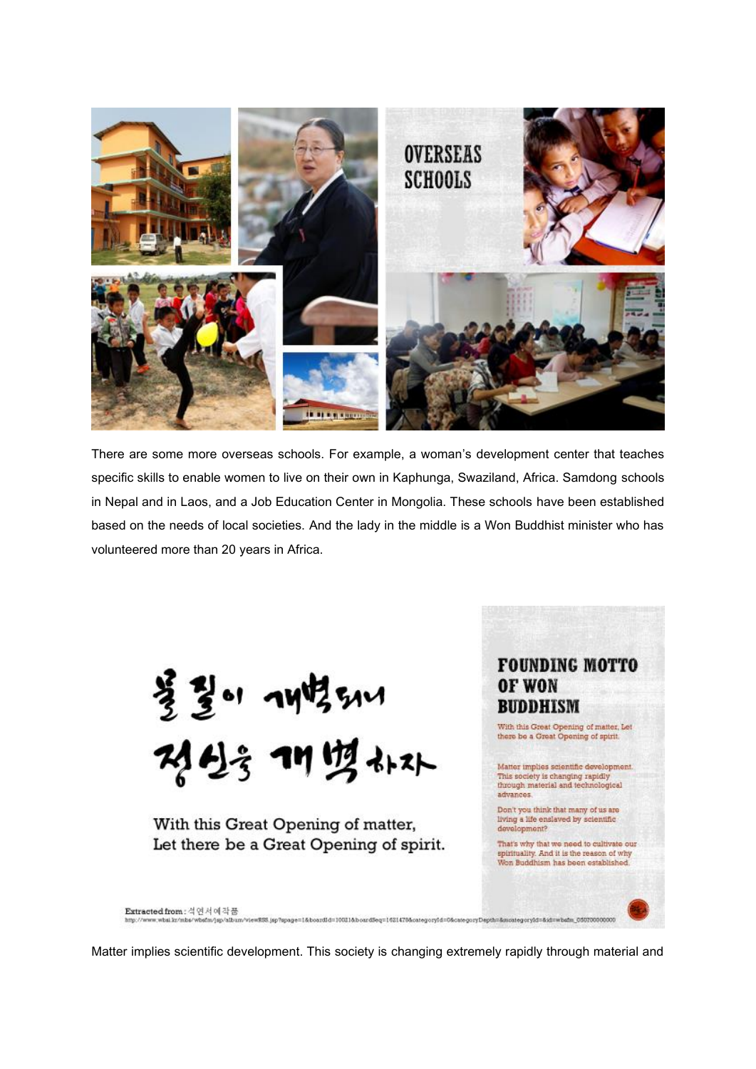

There are some more overseas schools. For example, a woman's development center that teaches specific skills to enable women to live on their own in Kaphunga, Swaziland, Africa. Samdong schools in Nepal and in Laos, and a Job Education Center in Mongolia. These schools have been established based on the needs of local societies. And the lady in the middle is a Won Buddhist minister who has volunteered more than 20 years in Africa.

불길이 개벽54시<br>정신을 개별하자

With this Great Opening of matter, Let there be a Great Opening of spirit.



Extracted from: 석연서예작품

Matter implies scientific development. This society is changing extremely rapidly through material and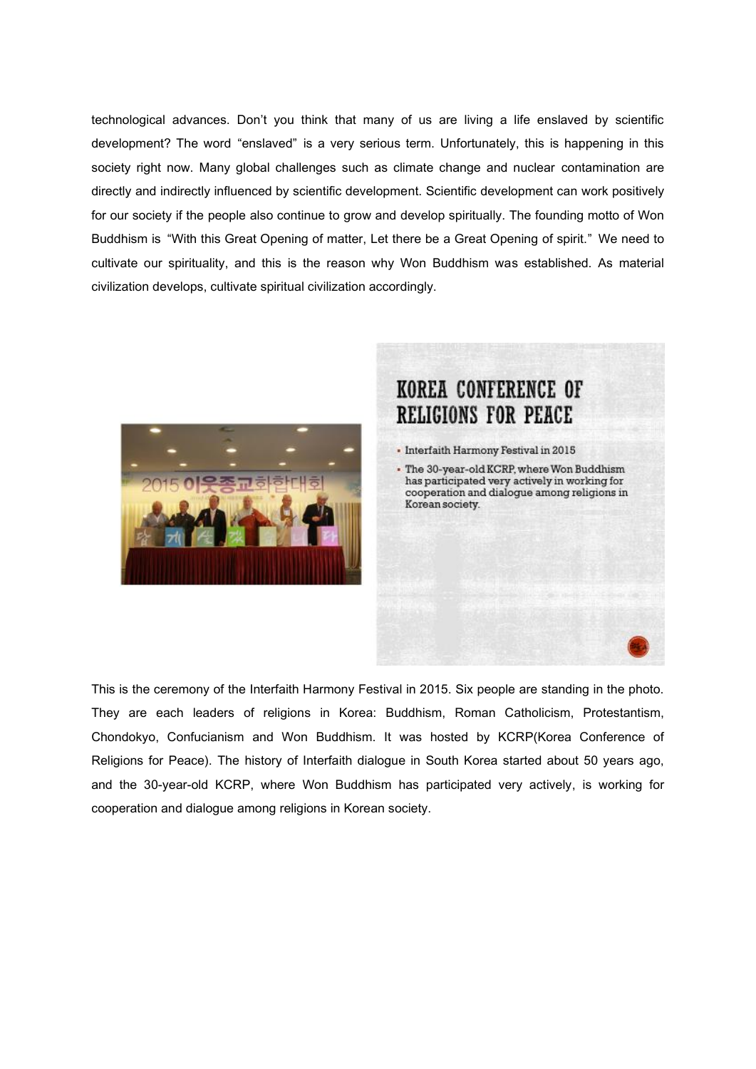technological advances. Don't you think that many of us are living a life enslaved by scientific development? The word "enslaved" is a very serious term. Unfortunately, this is happening in this society right now. Many global challenges such as climate change and nuclear contamination are directly and indirectly influenced by scientific development. Scientific development can work positively for our society if the people also continue to grow and develop spiritually. The founding motto of Won Buddhism is "With this Great Opening of matter, Let there be a Great Opening of spirit." We need to cultivate our spirituality, and this is the reason why Won Buddhism was established. As material civilization develops, cultivate spiritual civilization accordingly.



#### KOREA CONFERENCE OF **RELIGIONS FOR PEACE**

- Interfaith Harmony Festival in 2015
- . The 30-year-old KCRP, where Won Buddhism has participated very actively in working for cooperation and dialogue among religions in Korean society.

This is the ceremony of the Interfaith Harmony Festival in 2015. Six people are standing in the photo. They are each leaders of religions in Korea: Buddhism, Roman Catholicism, Protestantism, Chondokyo, Confucianism and Won Buddhism. It was hosted by KCRP(Korea Conference of Religions for Peace). The history of Interfaith dialogue in South Korea started about 50 years ago, and the 30-year-old KCRP, where Won Buddhism has participated very actively, is working for cooperation and dialogue among religions in Korean society.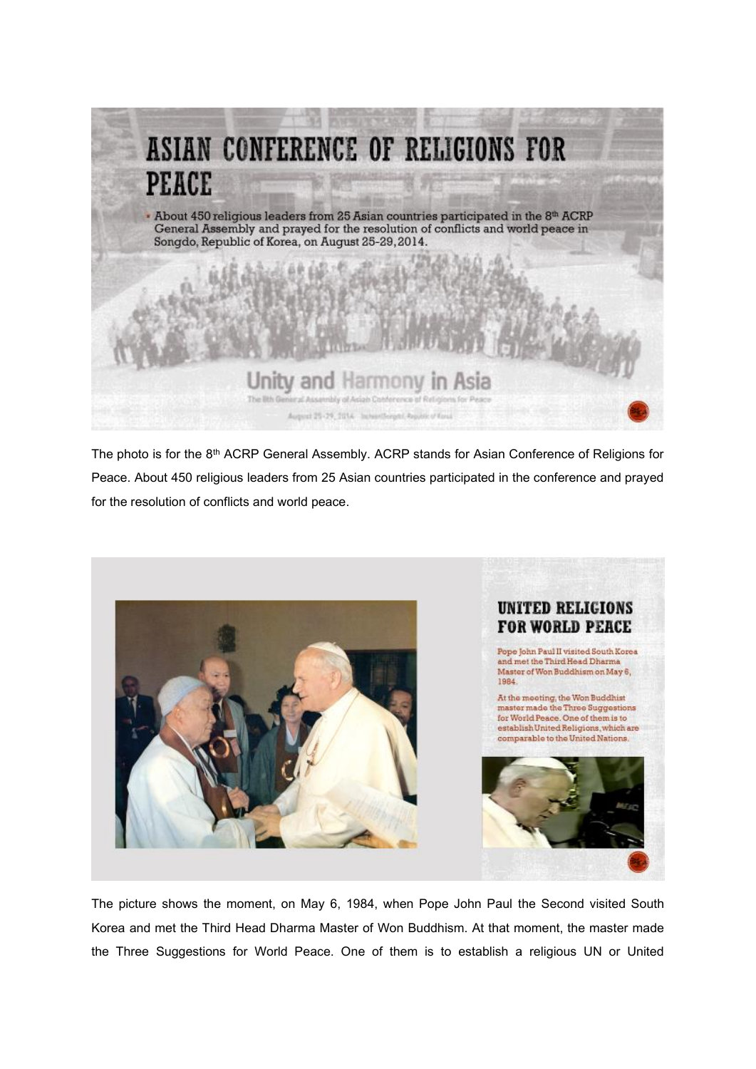

The photo is for the 8th ACRP General Assembly. ACRP stands for Asian Conference of Religions for Peace. About 450 religious leaders from 25 Asian countries participated in the conference and prayed for the resolution of conflicts and world peace.



The picture shows the moment, on May 6, 1984, when Pope John Paul the Second visited South Korea and met the Third Head Dharma Master of Won Buddhism. At that moment, the master made the Three Suggestions for World Peace. One of them is to establish a religious UN or United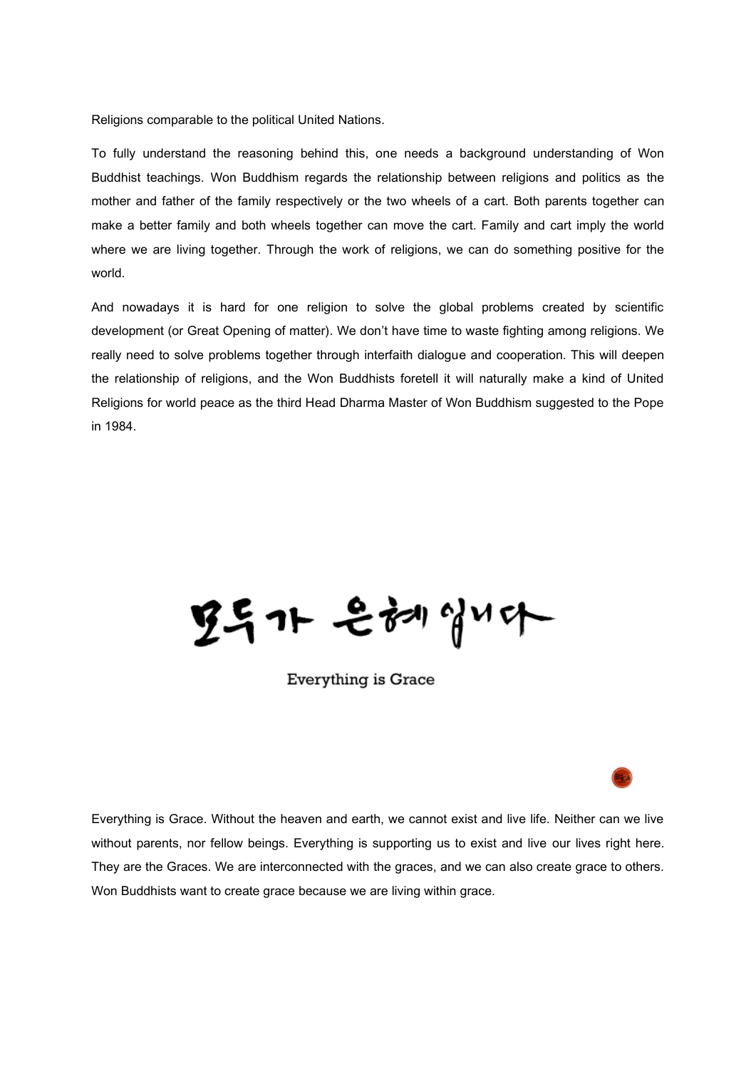Religions comparable to the political United Nations.

To fully understand the reasoning behind this, one needs a background understanding of Won Buddhist teachings. Won Buddhism regards the relationship between religions and politics as the mother and father of the family respectively or the two wheels of a cart. Both parents together can make a better family and both wheels together can move the cart. Family and cart imply the world where we are living together. Through the work of religions, we can do something positive for the world.

And nowadays it is hard for one religion to solve the global problems created by scientific development (or Great Opening of matter). We don't have time to waste fighting among religions. We really need to solve problems together through interfaith dialogue and cooperation. This will deepen the relationship of religions, and the Won Buddhists foretell it will naturally make a kind of United Religions for world peace as the third Head Dharma Master of Won Buddhism suggested to the Pope in 1984.

空气가 은혜십시아

Everything is Grace



Everything is Grace. Without the heaven and earth, we cannot exist and live life. Neither can we live without parents, nor fellow beings. Everything is supporting us to exist and live our lives right here. They are the Graces. We are interconnected with the graces, and we can also create grace to others. Won Buddhists want to create grace because we are living within grace.